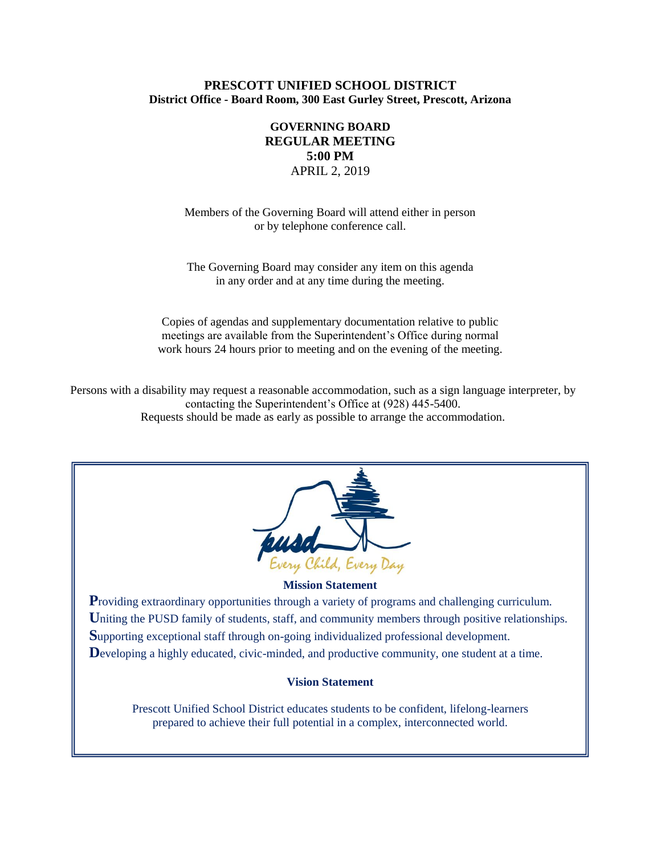### **PRESCOTT UNIFIED SCHOOL DISTRICT District Office - Board Room, 300 East Gurley Street, Prescott, Arizona**

## **GOVERNING BOARD REGULAR MEETING 5:00 PM** APRIL 2, 2019

Members of the Governing Board will attend either in person or by telephone conference call.

The Governing Board may consider any item on this agenda in any order and at any time during the meeting.

Copies of agendas and supplementary documentation relative to public meetings are available from the Superintendent's Office during normal work hours 24 hours prior to meeting and on the evening of the meeting.

Persons with a disability may request a reasonable accommodation, such as a sign language interpreter, by contacting the Superintendent's Office at (928) 445-5400. Requests should be made as early as possible to arrange the accommodation.



### **Mission Statement**

**Providing extraordinary opportunities through a variety of programs and challenging curriculum.** Uniting the PUSD family of students, staff, and community members through positive relationships. **S**upporting exceptional staff through on-going individualized professional development. Developing a highly educated, civic-minded, and productive community, one student at a time.

### **Vision Statement**

Prescott Unified School District educates students to be confident, lifelong-learners prepared to achieve their full potential in a complex, interconnected world.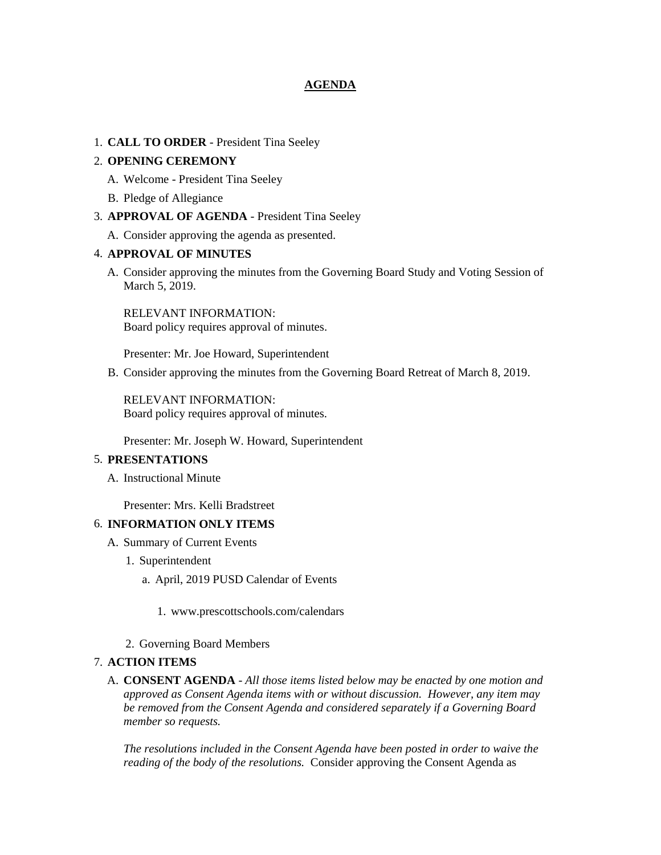### **AGENDA**

### 1. **CALL TO ORDER** - President Tina Seeley

### 2. **OPENING CEREMONY**

- A. Welcome President Tina Seeley
- B. Pledge of Allegiance
- 3. **APPROVAL OF AGENDA** President Tina Seeley
	- A. Consider approving the agenda as presented.

### 4. **APPROVAL OF MINUTES**

A. Consider approving the minutes from the Governing Board Study and Voting Session of March 5, 2019.

RELEVANT INFORMATION: Board policy requires approval of minutes.

Presenter: Mr. Joe Howard, Superintendent

B. Consider approving the minutes from the Governing Board Retreat of March 8, 2019.

RELEVANT INFORMATION: Board policy requires approval of minutes.

Presenter: Mr. Joseph W. Howard, Superintendent

### 5. **PRESENTATIONS**

A. Instructional Minute

Presenter: Mrs. Kelli Bradstreet

### 6. **INFORMATION ONLY ITEMS**

- A. Summary of Current Events
	- 1. Superintendent
		- a. April, 2019 PUSD Calendar of Events
			- 1. www.prescottschools.com/calendars
	- 2. Governing Board Members

### 7. **ACTION ITEMS**

A. **CONSENT AGENDA** - *All those items listed below may be enacted by one motion and approved as Consent Agenda items with or without discussion. However, any item may be removed from the Consent Agenda and considered separately if a Governing Board member so requests.*

*The resolutions included in the Consent Agenda have been posted in order to waive the reading of the body of the resolutions.* Consider approving the Consent Agenda as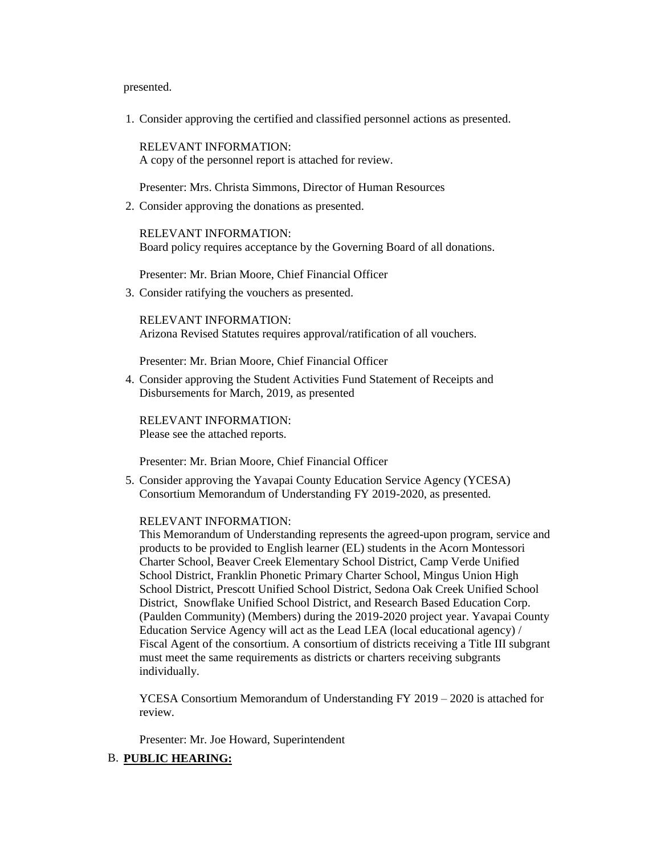presented.

1. Consider approving the certified and classified personnel actions as presented.

RELEVANT INFORMATION: A copy of the personnel report is attached for review.

Presenter: Mrs. Christa Simmons, Director of Human Resources

2. Consider approving the donations as presented.

RELEVANT INFORMATION: Board policy requires acceptance by the Governing Board of all donations.

Presenter: Mr. Brian Moore, Chief Financial Officer

3. Consider ratifying the vouchers as presented.

RELEVANT INFORMATION: Arizona Revised Statutes requires approval/ratification of all vouchers.

Presenter: Mr. Brian Moore, Chief Financial Officer

4. Consider approving the Student Activities Fund Statement of Receipts and Disbursements for March, 2019, as presented

RELEVANT INFORMATION: Please see the attached reports.

Presenter: Mr. Brian Moore, Chief Financial Officer

5. Consider approving the Yavapai County Education Service Agency (YCESA) Consortium Memorandum of Understanding FY 2019-2020, as presented.

#### RELEVANT INFORMATION:

This Memorandum of Understanding represents the agreed-upon program, service and products to be provided to English learner (EL) students in the Acorn Montessori Charter School, Beaver Creek Elementary School District, Camp Verde Unified School District, Franklin Phonetic Primary Charter School, Mingus Union High School District, Prescott Unified School District, Sedona Oak Creek Unified School District, Snowflake Unified School District, and Research Based Education Corp. (Paulden Community) (Members) during the 2019-2020 project year. Yavapai County Education Service Agency will act as the Lead LEA (local educational agency) / Fiscal Agent of the consortium. A consortium of districts receiving a Title III subgrant must meet the same requirements as districts or charters receiving subgrants individually.

YCESA Consortium Memorandum of Understanding FY 2019 – 2020 is attached for review.

Presenter: Mr. Joe Howard, Superintendent

### B. **PUBLIC HEARING:**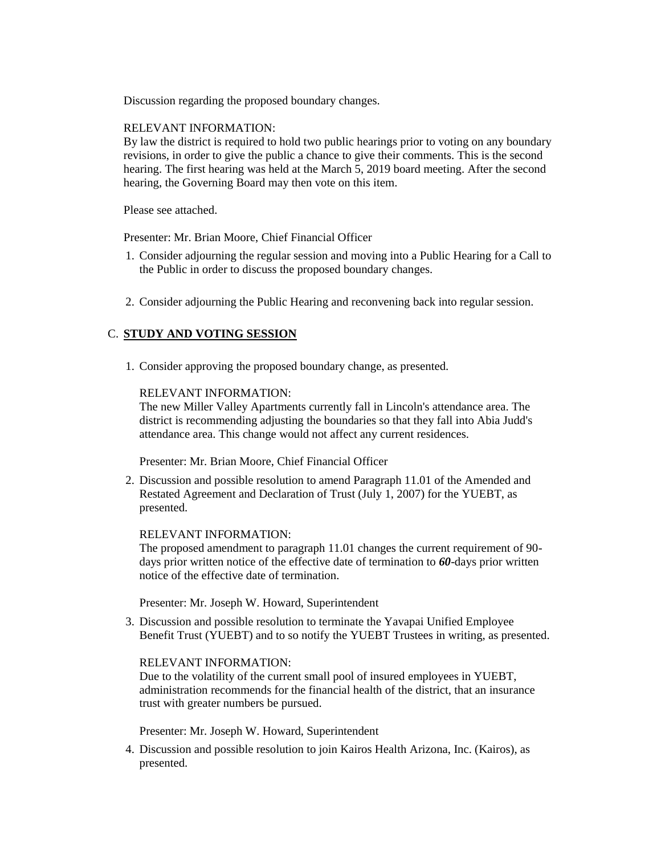Discussion regarding the proposed boundary changes.

### RELEVANT INFORMATION:

By law the district is required to hold two public hearings prior to voting on any boundary revisions, in order to give the public a chance to give their comments. This is the second hearing. The first hearing was held at the March 5, 2019 board meeting. After the second hearing, the Governing Board may then vote on this item.

Please see attached.

Presenter: Mr. Brian Moore, Chief Financial Officer

- 1. Consider adjourning the regular session and moving into a Public Hearing for a Call to the Public in order to discuss the proposed boundary changes.
- 2. Consider adjourning the Public Hearing and reconvening back into regular session.

### C. **STUDY AND VOTING SESSION**

1. Consider approving the proposed boundary change, as presented.

### RELEVANT INFORMATION:

The new Miller Valley Apartments currently fall in Lincoln's attendance area. The district is recommending adjusting the boundaries so that they fall into Abia Judd's attendance area. This change would not affect any current residences.

Presenter: Mr. Brian Moore, Chief Financial Officer

2. Discussion and possible resolution to amend Paragraph 11.01 of the Amended and Restated Agreement and Declaration of Trust (July 1, 2007) for the YUEBT, as presented.

### RELEVANT INFORMATION:

The proposed amendment to paragraph 11.01 changes the current requirement of 90 days prior written notice of the effective date of termination to *60*-days prior written notice of the effective date of termination.

Presenter: Mr. Joseph W. Howard, Superintendent

3. Discussion and possible resolution to terminate the Yavapai Unified Employee Benefit Trust (YUEBT) and to so notify the YUEBT Trustees in writing, as presented.

### RELEVANT INFORMATION:

Due to the volatility of the current small pool of insured employees in YUEBT, administration recommends for the financial health of the district, that an insurance trust with greater numbers be pursued.

Presenter: Mr. Joseph W. Howard, Superintendent

4. Discussion and possible resolution to join Kairos Health Arizona, Inc. (Kairos), as presented.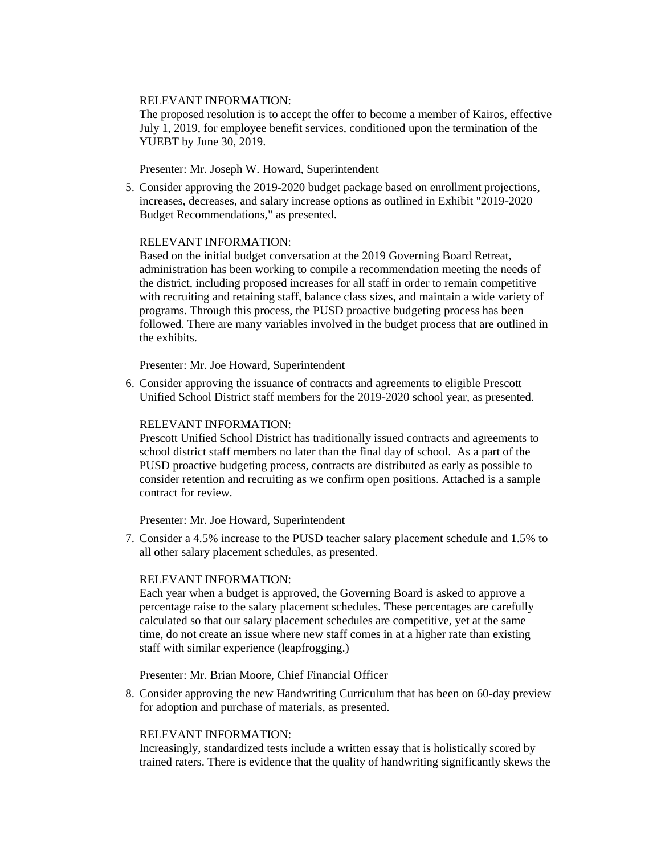### RELEVANT INFORMATION:

The proposed resolution is to accept the offer to become a member of Kairos, effective July 1, 2019, for employee benefit services, conditioned upon the termination of the YUEBT by June 30, 2019.

Presenter: Mr. Joseph W. Howard, Superintendent

5. Consider approving the 2019-2020 budget package based on enrollment projections, increases, decreases, and salary increase options as outlined in Exhibit "2019-2020 Budget Recommendations," as presented.

### RELEVANT INFORMATION:

Based on the initial budget conversation at the 2019 Governing Board Retreat, administration has been working to compile a recommendation meeting the needs of the district, including proposed increases for all staff in order to remain competitive with recruiting and retaining staff, balance class sizes, and maintain a wide variety of programs. Through this process, the PUSD proactive budgeting process has been followed. There are many variables involved in the budget process that are outlined in the exhibits.

Presenter: Mr. Joe Howard, Superintendent

6. Consider approving the issuance of contracts and agreements to eligible Prescott Unified School District staff members for the 2019-2020 school year, as presented.

### RELEVANT INFORMATION:

Prescott Unified School District has traditionally issued contracts and agreements to school district staff members no later than the final day of school. As a part of the PUSD proactive budgeting process, contracts are distributed as early as possible to consider retention and recruiting as we confirm open positions. Attached is a sample contract for review.

Presenter: Mr. Joe Howard, Superintendent

7. Consider a 4.5% increase to the PUSD teacher salary placement schedule and 1.5% to all other salary placement schedules, as presented.

### RELEVANT INFORMATION:

Each year when a budget is approved, the Governing Board is asked to approve a percentage raise to the salary placement schedules. These percentages are carefully calculated so that our salary placement schedules are competitive, yet at the same time, do not create an issue where new staff comes in at a higher rate than existing staff with similar experience (leapfrogging.)

Presenter: Mr. Brian Moore, Chief Financial Officer

8. Consider approving the new Handwriting Curriculum that has been on 60-day preview for adoption and purchase of materials, as presented.

### RELEVANT INFORMATION:

Increasingly, standardized tests include a written essay that is holistically scored by trained raters. There is evidence that the quality of handwriting significantly skews the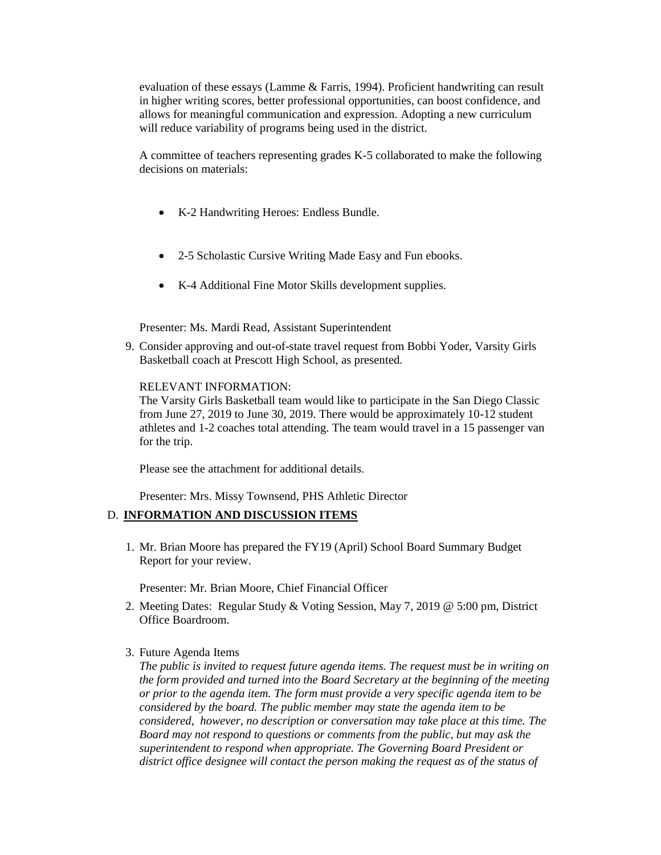evaluation of these essays (Lamme & Farris, 1994). Proficient handwriting can result in higher writing scores, better professional opportunities, can boost confidence, and allows for meaningful communication and expression. Adopting a new curriculum will reduce variability of programs being used in the district.

A committee of teachers representing grades K-5 collaborated to make the following decisions on materials:

- K-2 Handwriting Heroes: Endless Bundle.
- 2-5 Scholastic Cursive Writing Made Easy and Fun ebooks.
- K-4 Additional Fine Motor Skills development supplies.

Presenter: Ms. Mardi Read, Assistant Superintendent

9. Consider approving and out-of-state travel request from Bobbi Yoder, Varsity Girls Basketball coach at Prescott High School, as presented.

### RELEVANT INFORMATION:

The Varsity Girls Basketball team would like to participate in the San Diego Classic from June 27, 2019 to June 30, 2019. There would be approximately 10-12 student athletes and 1-2 coaches total attending. The team would travel in a 15 passenger van for the trip.

Please see the attachment for additional details.

Presenter: Mrs. Missy Townsend, PHS Athletic Director

### D. **INFORMATION AND DISCUSSION ITEMS**

1. Mr. Brian Moore has prepared the FY19 (April) School Board Summary Budget Report for your review.

Presenter: Mr. Brian Moore, Chief Financial Officer

- 2. Meeting Dates: Regular Study & Voting Session, May 7, 2019 @ 5:00 pm, District Office Boardroom.
- 3. Future Agenda Items

*The public is invited to request future agenda items. The request must be in writing on the form provided and turned into the Board Secretary at the beginning of the meeting or prior to the agenda item. The form must provide a very specific agenda item to be considered by the board. The public member may state the agenda item to be considered, however, no description or conversation may take place at this time. The Board may not respond to questions or comments from the public, but may ask the superintendent to respond when appropriate. The Governing Board President or district office designee will contact the person making the request as of the status of*